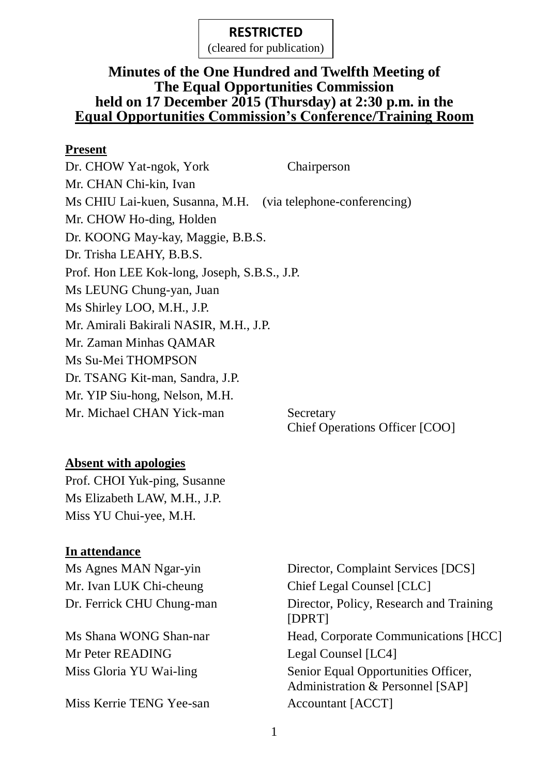(cleared for publication)

# **Minutes of the One Hundred and Twelfth Meeting of The Equal Opportunities Commission held on 17 December 2015 (Thursday) at 2:30 p.m. in the Equal Opportunities Commission's Conference/Training Room**

#### **Present**

Dr. CHOW Yat-ngok, York Chairperson Mr. CHAN Chi-kin, Ivan Ms CHIU Lai-kuen, Susanna, M.H. (via telephone-conferencing) Mr. CHOW Ho-ding, Holden Dr. KOONG May-kay, Maggie, B.B.S. Dr. Trisha LEAHY, B.B.S. Prof. Hon LEE Kok-long, Joseph, S.B.S., J.P. Ms LEUNG Chung-yan, Juan Ms Shirley LOO, M.H., J.P. Mr. Amirali Bakirali NASIR, M.H., J.P. Mr. Zaman Minhas QAMAR Ms Su-Mei THOMPSON Dr. TSANG Kit-man, Sandra, J.P. Mr. YIP Siu-hong, Nelson, M.H. Mr. Michael CHAN Yick-man Secretary

# **Absent with apologies**

Prof. CHOI Yuk-ping, Susanne Ms Elizabeth LAW, M.H., J.P. Miss YU Chui-yee, M.H.

# **In attendance**

Mr. Ivan LUK Chi-cheung Chief Legal Counsel [CLC]

Mr Peter READING Legal Counsel [LC4]

Miss Kerrie TENG Yee-san Accountant [ACCT]

Ms Agnes MAN Ngar-yin Director, Complaint Services [DCS] Dr. Ferrick CHU Chung-man Director, Policy, Research and Training [DPRT] Ms Shana WONG Shan-nar Head, Corporate Communications [HCC] Miss Gloria YU Wai-ling Senior Equal Opportunities Officer, Administration & Personnel [SAP]

Chief Operations Officer [COO]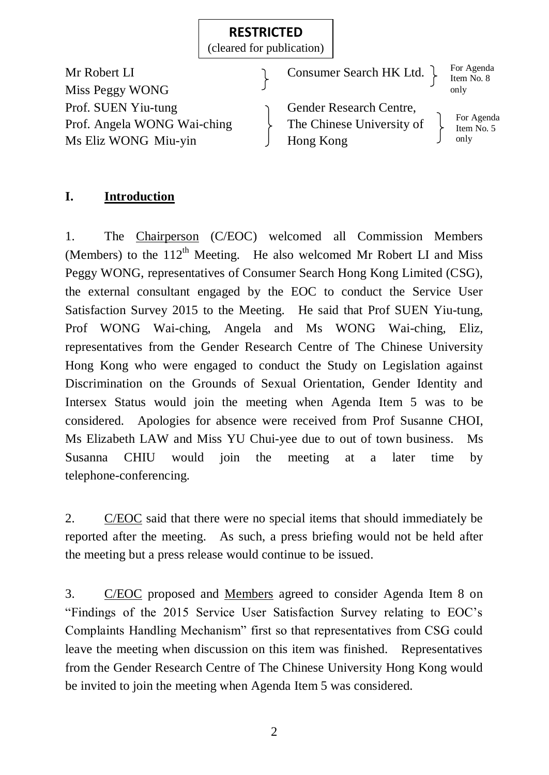(cleared for publication)

Mr Robert LI Consumer Search HK Ltd. Miss Peggy WONG Prof. SUEN Yiu-tung Gender Research Centre, Prof. Angela WONG Wai-ching  $\longrightarrow$  The Chinese University of Ms Eliz WONG Miu-yin J Hong Kong

For Agenda Item No. 8 only

For Agenda Item No. 5 only

# **I. Introduction**

1. The Chairperson (C/EOC) welcomed all Commission Members (Members) to the  $112<sup>th</sup>$  Meeting. He also welcomed Mr Robert LI and Miss Peggy WONG, representatives of Consumer Search Hong Kong Limited (CSG), the external consultant engaged by the EOC to conduct the Service User Satisfaction Survey 2015 to the Meeting. He said that Prof SUEN Yiu-tung, Prof WONG Wai-ching, Angela and Ms WONG Wai-ching, Eliz, representatives from the Gender Research Centre of The Chinese University Hong Kong who were engaged to conduct the Study on Legislation against Discrimination on the Grounds of Sexual Orientation, Gender Identity and Intersex Status would join the meeting when Agenda Item 5 was to be considered. Apologies for absence were received from Prof Susanne CHOI, Ms Elizabeth LAW and Miss YU Chui-yee due to out of town business. Ms Susanna CHIU would join the meeting at a later time by telephone-conferencing.

2. C/EOC said that there were no special items that should immediately be reported after the meeting. As such, a press briefing would not be held after the meeting but a press release would continue to be issued.

3. C/EOC proposed and Members agreed to consider Agenda Item 8 on "Findings of the 2015 Service User Satisfaction Survey relating to EOC's Complaints Handling Mechanism" first so that representatives from CSG could leave the meeting when discussion on this item was finished. Representatives from the Gender Research Centre of The Chinese University Hong Kong would be invited to join the meeting when Agenda Item 5 was considered.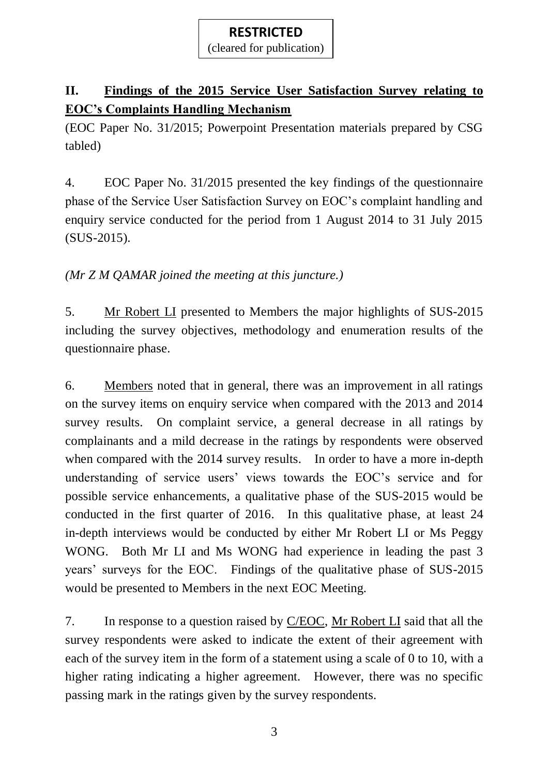(cleared for publication)

# **II. Findings of the 2015 Service User Satisfaction Survey relating to EOC's Complaints Handling Mechanism**

(EOC Paper No. 31/2015; Powerpoint Presentation materials prepared by CSG tabled)

4. EOC Paper No. 31/2015 presented the key findings of the questionnaire phase of the Service User Satisfaction Survey on EOC's complaint handling and enquiry service conducted for the period from 1 August 2014 to 31 July 2015 (SUS-2015).

*(Mr Z M QAMAR joined the meeting at this juncture.)*

5. Mr Robert LI presented to Members the major highlights of SUS-2015 including the survey objectives, methodology and enumeration results of the questionnaire phase.

6. Members noted that in general, there was an improvement in all ratings on the survey items on enquiry service when compared with the 2013 and 2014 survey results. On complaint service, a general decrease in all ratings by complainants and a mild decrease in the ratings by respondents were observed when compared with the 2014 survey results. In order to have a more in-depth understanding of service users' views towards the EOC's service and for possible service enhancements, a qualitative phase of the SUS-2015 would be conducted in the first quarter of 2016. In this qualitative phase, at least 24 in-depth interviews would be conducted by either Mr Robert LI or Ms Peggy WONG. Both Mr LI and Ms WONG had experience in leading the past 3 years' surveys for the EOC. Findings of the qualitative phase of SUS-2015 would be presented to Members in the next EOC Meeting.

7. In response to a question raised by C/EOC, Mr Robert LI said that all the survey respondents were asked to indicate the extent of their agreement with each of the survey item in the form of a statement using a scale of 0 to 10, with a higher rating indicating a higher agreement. However, there was no specific passing mark in the ratings given by the survey respondents.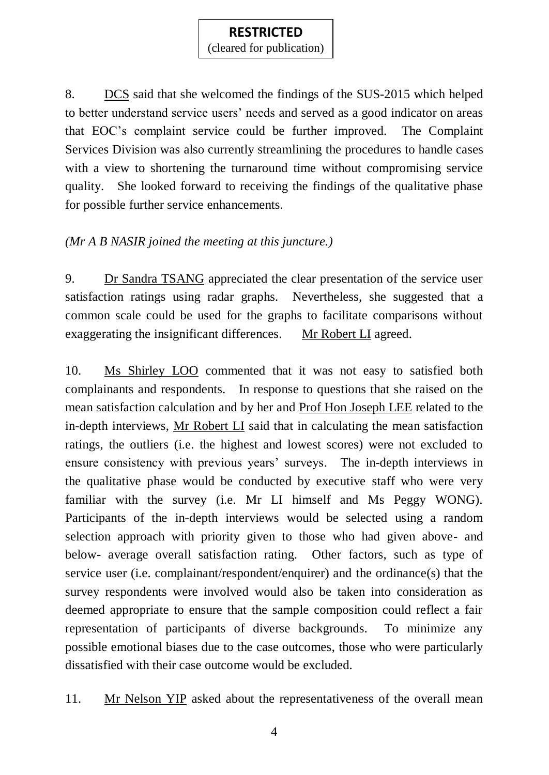(cleared for publication)

8. DCS said that she welcomed the findings of the SUS-2015 which helped to better understand service users' needs and served as a good indicator on areas that EOC's complaint service could be further improved. The Complaint Services Division was also currently streamlining the procedures to handle cases with a view to shortening the turnaround time without compromising service quality. She looked forward to receiving the findings of the qualitative phase for possible further service enhancements.

# *(Mr A B NASIR joined the meeting at this juncture.)*

9. Dr Sandra TSANG appreciated the clear presentation of the service user satisfaction ratings using radar graphs. Nevertheless, she suggested that a common scale could be used for the graphs to facilitate comparisons without exaggerating the insignificant differences. Mr Robert LI agreed.

10. Ms Shirley LOO commented that it was not easy to satisfied both complainants and respondents. In response to questions that she raised on the mean satisfaction calculation and by her and Prof Hon Joseph LEE related to the in-depth interviews, Mr Robert LI said that in calculating the mean satisfaction ratings, the outliers (i.e. the highest and lowest scores) were not excluded to ensure consistency with previous years' surveys. The in-depth interviews in the qualitative phase would be conducted by executive staff who were very familiar with the survey (i.e. Mr LI himself and Ms Peggy WONG). Participants of the in-depth interviews would be selected using a random selection approach with priority given to those who had given above- and below- average overall satisfaction rating. Other factors, such as type of service user (i.e. complainant/respondent/enquirer) and the ordinance(s) that the survey respondents were involved would also be taken into consideration as deemed appropriate to ensure that the sample composition could reflect a fair representation of participants of diverse backgrounds. To minimize any possible emotional biases due to the case outcomes, those who were particularly dissatisfied with their case outcome would be excluded.

11. Mr Nelson YIP asked about the representativeness of the overall mean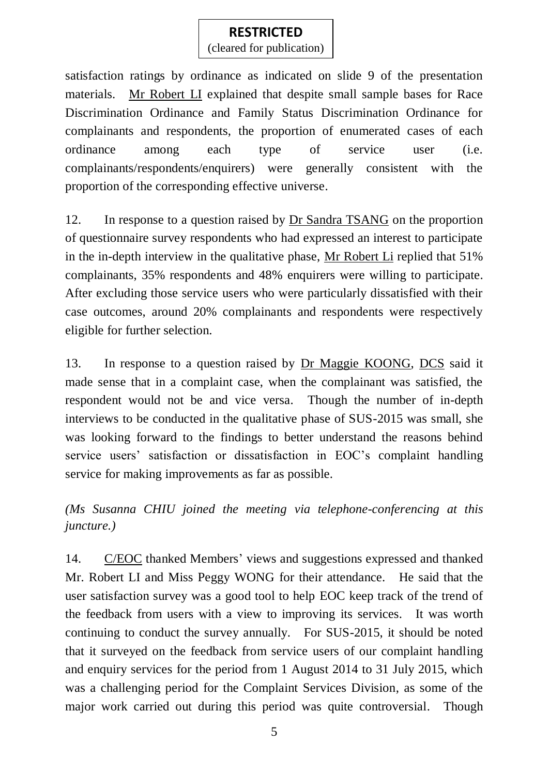(cleared for publication)

satisfaction ratings by ordinance as indicated on slide 9 of the presentation materials. Mr Robert LI explained that despite small sample bases for Race Discrimination Ordinance and Family Status Discrimination Ordinance for complainants and respondents, the proportion of enumerated cases of each ordinance among each type of service user (i.e. complainants/respondents/enquirers) were generally consistent with the proportion of the corresponding effective universe.

12. In response to a question raised by Dr Sandra TSANG on the proportion of questionnaire survey respondents who had expressed an interest to participate in the in-depth interview in the qualitative phase, Mr Robert Li replied that 51% complainants, 35% respondents and 48% enquirers were willing to participate. After excluding those service users who were particularly dissatisfied with their case outcomes, around 20% complainants and respondents were respectively eligible for further selection.

13. In response to a question raised by Dr Maggie KOONG, DCS said it made sense that in a complaint case, when the complainant was satisfied, the respondent would not be and vice versa. Though the number of in-depth interviews to be conducted in the qualitative phase of SUS-2015 was small, she was looking forward to the findings to better understand the reasons behind service users' satisfaction or dissatisfaction in EOC's complaint handling service for making improvements as far as possible.

*(Ms Susanna CHIU joined the meeting via telephone-conferencing at this juncture.)*

14. C/EOC thanked Members' views and suggestions expressed and thanked Mr. Robert LI and Miss Peggy WONG for their attendance. He said that the user satisfaction survey was a good tool to help EOC keep track of the trend of the feedback from users with a view to improving its services. It was worth continuing to conduct the survey annually. For SUS-2015, it should be noted that it surveyed on the feedback from service users of our complaint handling and enquiry services for the period from 1 August 2014 to 31 July 2015, which was a challenging period for the Complaint Services Division, as some of the major work carried out during this period was quite controversial. Though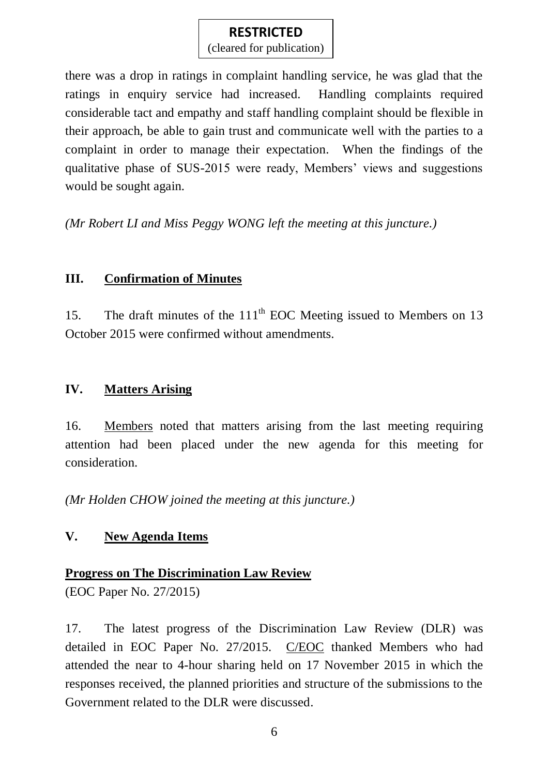(cleared for publication)

there was a drop in ratings in complaint handling service, he was glad that the ratings in enquiry service had increased. Handling complaints required considerable tact and empathy and staff handling complaint should be flexible in their approach, be able to gain trust and communicate well with the parties to a complaint in order to manage their expectation. When the findings of the qualitative phase of SUS-2015 were ready, Members' views and suggestions would be sought again.

*(Mr Robert LI and Miss Peggy WONG left the meeting at this juncture.)*

# **III. Confirmation of Minutes**

15. The draft minutes of the 111<sup>th</sup> EOC Meeting issued to Members on 13 October 2015 were confirmed without amendments.

# **IV. Matters Arising**

16. Members noted that matters arising from the last meeting requiring attention had been placed under the new agenda for this meeting for consideration.

*(Mr Holden CHOW joined the meeting at this juncture.)*

# **V. New Agenda Items**

# **Progress on The Discrimination Law Review**

(EOC Paper No. 27/2015)

17. The latest progress of the Discrimination Law Review (DLR) was detailed in EOC Paper No. 27/2015. C/EOC thanked Members who had attended the near to 4-hour sharing held on 17 November 2015 in which the responses received, the planned priorities and structure of the submissions to the Government related to the DLR were discussed.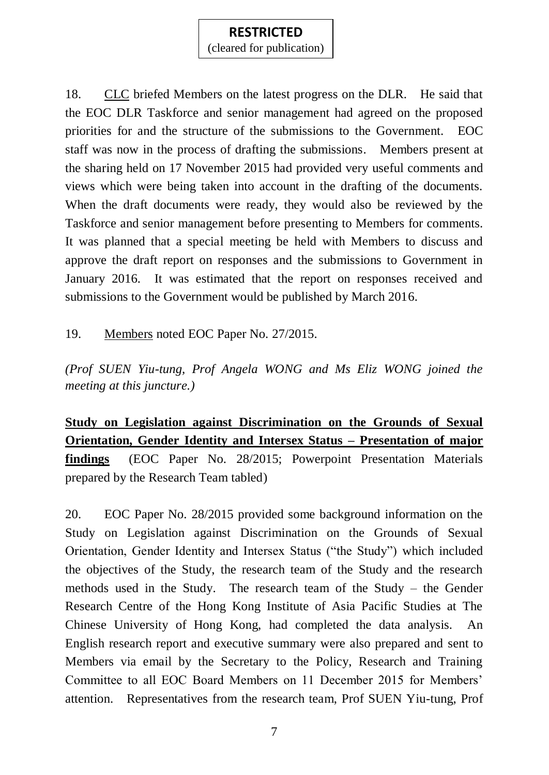(cleared for publication)

18. CLC briefed Members on the latest progress on the DLR. He said that the EOC DLR Taskforce and senior management had agreed on the proposed priorities for and the structure of the submissions to the Government. EOC staff was now in the process of drafting the submissions. Members present at the sharing held on 17 November 2015 had provided very useful comments and views which were being taken into account in the drafting of the documents. When the draft documents were ready, they would also be reviewed by the Taskforce and senior management before presenting to Members for comments. It was planned that a special meeting be held with Members to discuss and approve the draft report on responses and the submissions to Government in January 2016. It was estimated that the report on responses received and submissions to the Government would be published by March 2016.

19. Members noted EOC Paper No. 27/2015.

*(Prof SUEN Yiu-tung, Prof Angela WONG and Ms Eliz WONG joined the meeting at this juncture.)*

**Study on Legislation against Discrimination on the Grounds of Sexual Orientation, Gender Identity and Intersex Status – Presentation of major findings** (EOC Paper No. 28/2015; Powerpoint Presentation Materials prepared by the Research Team tabled)

20. EOC Paper No. 28/2015 provided some background information on the Study on Legislation against Discrimination on the Grounds of Sexual Orientation, Gender Identity and Intersex Status ("the Study") which included the objectives of the Study, the research team of the Study and the research methods used in the Study. The research team of the Study – the Gender Research Centre of the Hong Kong Institute of Asia Pacific Studies at The Chinese University of Hong Kong, had completed the data analysis. An English research report and executive summary were also prepared and sent to Members via email by the Secretary to the Policy, Research and Training Committee to all EOC Board Members on 11 December 2015 for Members' attention. Representatives from the research team, Prof SUEN Yiu-tung, Prof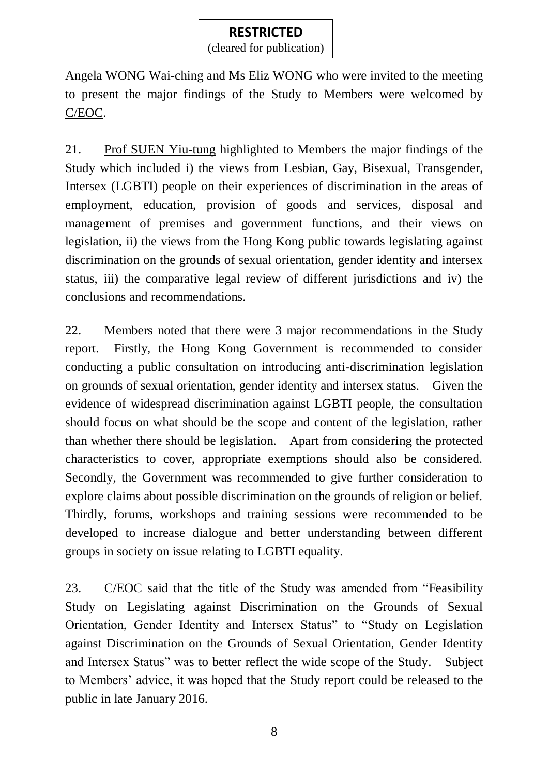(cleared for publication)

Angela WONG Wai-ching and Ms Eliz WONG who were invited to the meeting to present the major findings of the Study to Members were welcomed by C/EOC.

21. Prof SUEN Yiu-tung highlighted to Members the major findings of the Study which included i) the views from Lesbian, Gay, Bisexual, Transgender, Intersex (LGBTI) people on their experiences of discrimination in the areas of employment, education, provision of goods and services, disposal and management of premises and government functions, and their views on legislation, ii) the views from the Hong Kong public towards legislating against discrimination on the grounds of sexual orientation, gender identity and intersex status, iii) the comparative legal review of different jurisdictions and iv) the conclusions and recommendations.

22. Members noted that there were 3 major recommendations in the Study report. Firstly, the Hong Kong Government is recommended to consider conducting a public consultation on introducing anti-discrimination legislation on grounds of sexual orientation, gender identity and intersex status. Given the evidence of widespread discrimination against LGBTI people, the consultation should focus on what should be the scope and content of the legislation, rather than whether there should be legislation. Apart from considering the protected characteristics to cover, appropriate exemptions should also be considered. Secondly, the Government was recommended to give further consideration to explore claims about possible discrimination on the grounds of religion or belief. Thirdly, forums, workshops and training sessions were recommended to be developed to increase dialogue and better understanding between different groups in society on issue relating to LGBTI equality.

23. C/EOC said that the title of the Study was amended from "Feasibility Study on Legislating against Discrimination on the Grounds of Sexual Orientation, Gender Identity and Intersex Status" to "Study on Legislation against Discrimination on the Grounds of Sexual Orientation, Gender Identity and Intersex Status" was to better reflect the wide scope of the Study. Subject to Members' advice, it was hoped that the Study report could be released to the public in late January 2016.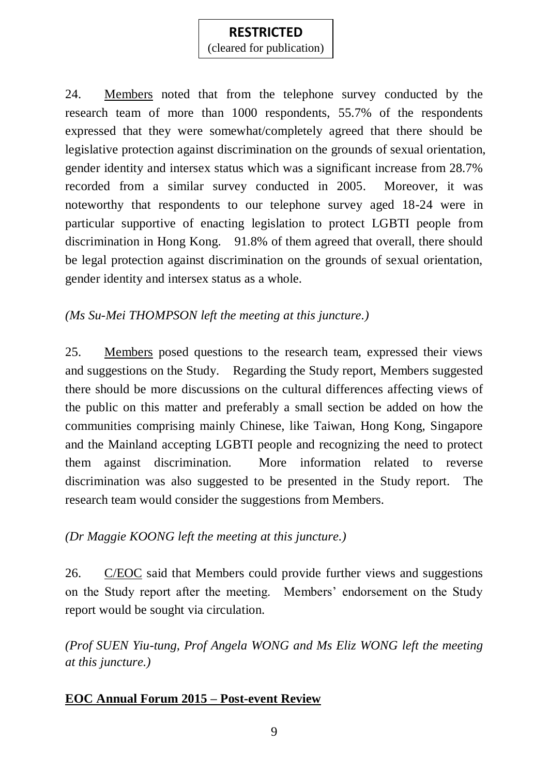(cleared for publication)

24. Members noted that from the telephone survey conducted by the research team of more than 1000 respondents, 55.7% of the respondents expressed that they were somewhat/completely agreed that there should be legislative protection against discrimination on the grounds of sexual orientation, gender identity and intersex status which was a significant increase from 28.7% recorded from a similar survey conducted in 2005. Moreover, it was noteworthy that respondents to our telephone survey aged 18-24 were in particular supportive of enacting legislation to protect LGBTI people from discrimination in Hong Kong. 91.8% of them agreed that overall, there should be legal protection against discrimination on the grounds of sexual orientation, gender identity and intersex status as a whole.

# *(Ms Su-Mei THOMPSON left the meeting at this juncture.)*

25. Members posed questions to the research team, expressed their views and suggestions on the Study. Regarding the Study report, Members suggested there should be more discussions on the cultural differences affecting views of the public on this matter and preferably a small section be added on how the communities comprising mainly Chinese, like Taiwan, Hong Kong, Singapore and the Mainland accepting LGBTI people and recognizing the need to protect them against discrimination. More information related to reverse discrimination was also suggested to be presented in the Study report. The research team would consider the suggestions from Members.

# *(Dr Maggie KOONG left the meeting at this juncture.)*

26. C/EOC said that Members could provide further views and suggestions on the Study report after the meeting. Members' endorsement on the Study report would be sought via circulation.

*(Prof SUEN Yiu-tung, Prof Angela WONG and Ms Eliz WONG left the meeting at this juncture.)*

# **EOC Annual Forum 2015 – Post-event Review**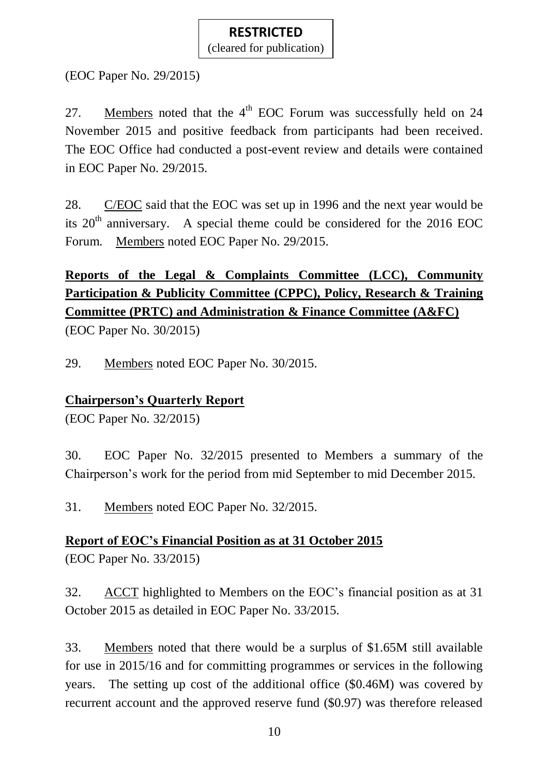(cleared for publication)

(EOC Paper No. 29/2015)

27. Members noted that the  $4<sup>th</sup>$  EOC Forum was successfully held on 24 November 2015 and positive feedback from participants had been received. The EOC Office had conducted a post-event review and details were contained in EOC Paper No. 29/2015.

28. C/EOC said that the EOC was set up in 1996 and the next year would be its  $20<sup>th</sup>$  anniversary. A special theme could be considered for the 2016 EOC Forum. Members noted EOC Paper No. 29/2015.

# **Reports of the Legal & Complaints Committee (LCC), Community Participation & Publicity Committee (CPPC), Policy, Research & Training Committee (PRTC) and Administration & Finance Committee (A&FC)**

(EOC Paper No. 30/2015)

29. Members noted EOC Paper No. 30/2015.

# **Chairperson's Quarterly Report**

(EOC Paper No. 32/2015)

30. EOC Paper No. 32/2015 presented to Members a summary of the Chairperson's work for the period from mid September to mid December 2015.

31. Members noted EOC Paper No. 32/2015.

**Report of EOC's Financial Position as at 31 October 2015**  (EOC Paper No. 33/2015)

32. ACCT highlighted to Members on the EOC's financial position as at 31 October 2015 as detailed in EOC Paper No. 33/2015.

33. Members noted that there would be a surplus of \$1.65M still available for use in 2015/16 and for committing programmes or services in the following years. The setting up cost of the additional office (\$0.46M) was covered by recurrent account and the approved reserve fund (\$0.97) was therefore released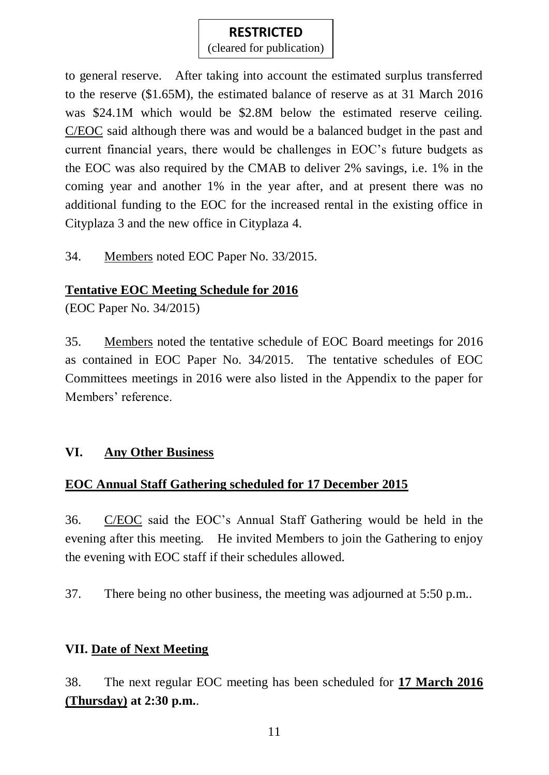(cleared for publication)

to general reserve. After taking into account the estimated surplus transferred to the reserve (\$1.65M), the estimated balance of reserve as at 31 March 2016 was \$24.1M which would be \$2.8M below the estimated reserve ceiling. C/EOC said although there was and would be a balanced budget in the past and current financial years, there would be challenges in EOC's future budgets as the EOC was also required by the CMAB to deliver 2% savings, i.e. 1% in the coming year and another 1% in the year after, and at present there was no additional funding to the EOC for the increased rental in the existing office in Cityplaza 3 and the new office in Cityplaza 4.

34. Members noted EOC Paper No. 33/2015.

# **Tentative EOC Meeting Schedule for 2016**

(EOC Paper No. 34/2015)

35. Members noted the tentative schedule of EOC Board meetings for 2016 as contained in EOC Paper No. 34/2015. The tentative schedules of EOC Committees meetings in 2016 were also listed in the Appendix to the paper for Members' reference.

# **VI. Any Other Business**

# **EOC Annual Staff Gathering scheduled for 17 December 2015**

36. C/EOC said the EOC's Annual Staff Gathering would be held in the evening after this meeting. He invited Members to join the Gathering to enjoy the evening with EOC staff if their schedules allowed.

37. There being no other business, the meeting was adjourned at 5:50 p.m..

# **VII. Date of Next Meeting**

38. The next regular EOC meeting has been scheduled for **17 March 2016 (Thursday) at 2:30 p.m.**.